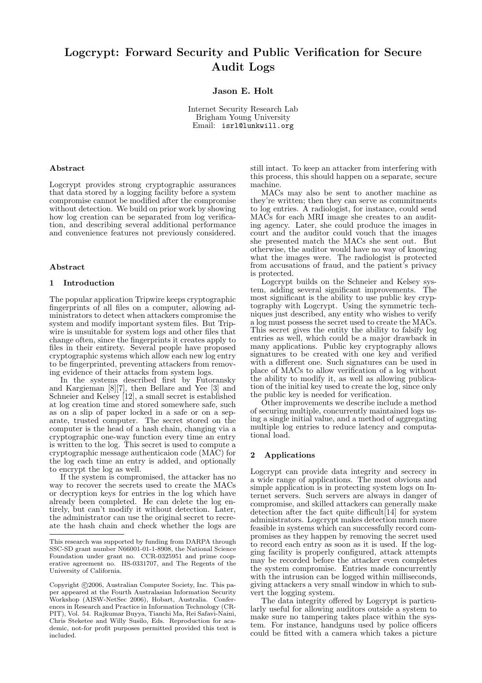# Logcrypt: Forward Security and Public Verification for Secure Audit Logs

Jason E. Holt

Internet Security Research Lab Brigham Young University Email: isrl@lunkwill.org

### Abstract

Logcrypt provides strong cryptographic assurances that data stored by a logging facility before a system compromise cannot be modified after the compromise without detection. We build on prior work by showing how log creation can be separated from log verification, and describing several additional performance and convenience features not previously considered.

#### Abstract

# 1 Introduction

The popular application Tripwire keeps cryptographic fingerprints of all files on a computer, allowing administrators to detect when attackers compromise the system and modify important system files. But Tripwire is unsuitable for system logs and other files that change often, since the fingerprints it creates apply to files in their entirety. Several people have proposed cryptographic systems which allow each new log entry to be fingerprinted, preventing attackers from removing evidence of their attacks from system logs.

In the systems described first by Futoransky and Kargieman [8][7], then Bellare and Yee [3] and Schneier and Kelsey [12], a small secret is established at log creation time and stored somewhere safe, such as on a slip of paper locked in a safe or on a separate, trusted computer. The secret stored on the computer is the head of a hash chain, changing via a cryptographic one-way function every time an entry is written to the log. This secret is used to compute a cryptographic message authenticaion code (MAC) for the log each time an entry is added, and optionally to encrypt the log as well.

If the system is compromised, the attacker has no way to recover the secrets used to create the MACs or decryption keys for entries in the log which have already been completed. He can delete the log entirely, but can't modify it without detection. Later, the administrator can use the original secret to recreate the hash chain and check whether the logs are

still intact. To keep an attacker from interfering with this process, this should happen on a separate, secure machine.

MACs may also be sent to another machine as they're written; then they can serve as commitments to log entries. A radiologist, for instance, could send MACs for each MRI image she creates to an auditing agency. Later, she could produce the images in court and the auditor could vouch that the images she presented match the MACs she sent out. But otherwise, the auditor would have no way of knowing what the images were. The radiologist is protected from accusations of fraud, and the patient's privacy is protected.

Logcrypt builds on the Schneier and Kelsey system, adding several significant improvements. The most significant is the ability to use public key cryptography with Logcrypt. Using the symmetric techniques just described, any entity who wishes to verify a log must possess the secret used to create the MACs. This secret gives the entity the ability to falsify log entries as well, which could be a major drawback in many applications. Public key cryptography allows signatures to be created with one key and verified with a different one. Such signatures can be used in place of MACs to allow verification of a log without the ability to modify it, as well as allowing publication of the initial key used to create the log, since only the public key is needed for verification.

Other improvements we describe include a method of securing multiple, concurrently maintained logs using a single initial value, and a method of aggregating multiple log entries to reduce latency and computational load.

#### 2 Applications

Logcrypt can provide data integrity and secrecy in a wide range of applications. The most obvious and simple application is in protecting system logs on Internet servers. Such servers are always in danger of compromise, and skilled attackers can generally make detection after the fact quite difficult[14] for system administrators. Logcrypt makes detection much more feasible in systems which can successfully record compromises as they happen by removing the secret used to record each entry as soon as it is used. If the logging facility is properly configured, attack attempts may be recorded before the attacker even completes the system compromise. Entries made concurrently with the intrusion can be logged within milliseconds, giving attackers a very small window in which to subvert the logging system.

The data integrity offered by Logcrypt is particularly useful for allowing auditors outside a system to make sure no tampering takes place within the system. For instance, handguns used by police officers could be fitted with a camera which takes a picture

This research was supported by funding from DARPA through SSC-SD grant number N66001-01-1-8908, the National Science Foundation under grant no. CCR-0325951 and prime cooperative agreement no. IIS-0331707, and The Regents of the University of California.

Copyright  $\odot$ 2006, Australian Computer Society, Inc. This paper appeared at the Fourth Australasian Information Security Workshop (AISW-NetSec 2006), Hobart, Australia. Conferences in Research and Practice in Information Technology (CR-PIT), Vol. 54. Rajkumar Buyya, Tianchi Ma, Rei Safavi-Naini, Chris Steketee and Willy Susilo, Eds. Reproduction for academic, not-for profit purposes permitted provided this text is included.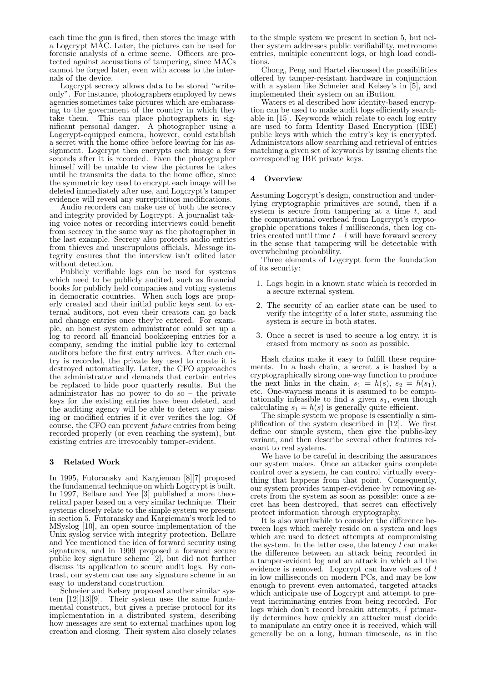each time the gun is fired, then stores the image with a Logcrypt MAC. Later, the pictures can be used for forensic analysis of a crime scene. Officers are protected against accusations of tampering, since MACs cannot be forged later, even with access to the internals of the device.

Logcrypt secrecy allows data to be stored "writeonly". For instance, photographers employed by news agencies sometimes take pictures which are embarassing to the government of the country in which they take them. This can place photographers in significant personal danger. A photographer using a Logcrypt-equipped camera, however, could establish a secret with the home office before leaving for his assignment. Logcrypt then encrypts each image a few seconds after it is recorded. Even the photographer himself will be unable to view the pictures he takes until he transmits the data to the home office, since the symmetric key used to encrypt each image will be deleted immediately after use, and Logcrypt's tamper evidence will reveal any surreptitiuos modifications.

Audio recorders can make use of both the secrecy and integrity provided by Logcrypt. A journalist taking voice notes or recording interviews could benefit from secrecy in the same way as the photographer in the last example. Secrecy also protects audio entries from thieves and unscrupulous officials. Message integrity ensures that the interview isn't edited later without detection.

Publicly verifiable logs can be used for systems which need to be publicly audited, such as financial books for publicly held companies and voting systems in democratic countries. When such logs are properly created and their initial public keys sent to external auditors, not even their creators can go back and change entries once they're entered. For example, an honest system administrator could set up a log to record all financial bookkeeping entries for a company, sending the initial public key to external auditors before the first entry arrives. After each entry is recorded, the private key used to create it is destroyed automatically. Later, the CFO approaches the administrator and demands that certain entries be replaced to hide poor quarterly results. But the administrator has no power to do so – the private keys for the existing entries have been deleted, and the auditing agency will be able to detect any missing or modified entries if it ever verifies the log. Of course, the CFO can prevent future entries from being recorded properly (or even reaching the system), but existing entries are irrevocably tamper-evident.

# 3 Related Work

In 1995, Futoransky and Kargieman [8][7] proposed the fundamental technique on which Logcrypt is built. In 1997, Bellare and Yee [3] published a more theoretical paper based on a very similar technique. Their systems closely relate to the simple system we present in section 5. Futoransky and Kargieman's work led to MSyslog [10], an open source implementation of the Unix syslog service with integrity protection. Bellare and Yee mentioned the idea of forward security using signatures, and in 1999 proposed a forward secure public key signature scheme [2], but did not further discuss its application to secure audit logs. By contrast, our system can use any signature scheme in an easy to understand construction.

Schneier and Kelsey proposed another similar system [12][13][9]. Their system uses the same fundamental construct, but gives a precise protocol for its implementation in a distributed system, describing how messages are sent to external machines upon log creation and closing. Their system also closely relates

to the simple system we present in section 5, but neither system addresses public verifiability, metronome entries, multiple concurrent logs, or high load conditions.

Chong, Peng and Hartel discussed the possibilities offered by tamper-resistant hardware in conjunction with a system like Schneier and Kelsey's in [5], and implemented their system on an iButton.

Waters et al described how identity-based encryption can be used to make audit logs efficiently searchable in [15]. Keywords which relate to each log entry are used to form Identity Based Encryption (IBE) public keys with which the entry's key is encrypted. Administrators allow searching and retrieval of entries matching a given set of keywords by issuing clients the corresponding IBE private keys.

# 4 Overview

Assuming Logcrypt's design, construction and underlying cryptographic primitives are sound, then if a system is secure from tampering at a time  $t$ , and the computational overhead from Logcrypt's cryptographic operations takes  $l$  milliseconds, then log entries created until time  $t - l$  will have forward secrecy in the sense that tampering will be detectable with overwhelming probability.

Three elements of Logcrypt form the foundation of its security:

- 1. Logs begin in a known state which is recorded in a secure external system.
- 2. The security of an earlier state can be used to verify the integrity of a later state, assuming the system is secure in both states.
- 3. Once a secret is used to secure a log entry, it is erased from memory as soon as possible.

Hash chains make it easy to fulfill these requirements. In a hash chain, a secret  $s$  is hashed by a cryptographically strong one-way function to produce the next links in the chain,  $s_1 = h(s)$ ,  $s_2 = h(s_1)$ , etc. One-wayness means it is assumed to be computationally infeasible to find  $s$  given  $s_1$ , even though calculating  $s_1 = h(s)$  is generally quite efficient.

The simple system we propose is essentially a simplification of the system described in [12]. We first define our simple system, then give the public-key variant, and then describe several other features relevant to real systems.

We have to be careful in describing the assurances our system makes. Once an attacker gains complete control over a system, he can control virtually everything that happens from that point. Consequently, our system provides tamper-evidence by removing secrets from the system as soon as possible: once a secret has been destroyed, that secret can effectively protect information through cryptography.

It is also worthwhile to consider the difference between logs which merely reside on a system and logs which are used to detect attempts at compromising the system. In the latter case, the latency  $l$  can make the difference between an attack being recorded in a tamper-evident log and an attack in which all the evidence is removed. Logcrypt can have values of l in low milliseconds on modern PCs, and may be low enough to prevent even automated, targeted attacks which anticipate use of Logcrypt and attempt to prevent incriminating entries from being recorded. For logs which don't record breakin attempts, l primarily determines how quickly an attacker must decide to manipulate an entry once it is received, which will generally be on a long, human timescale, as in the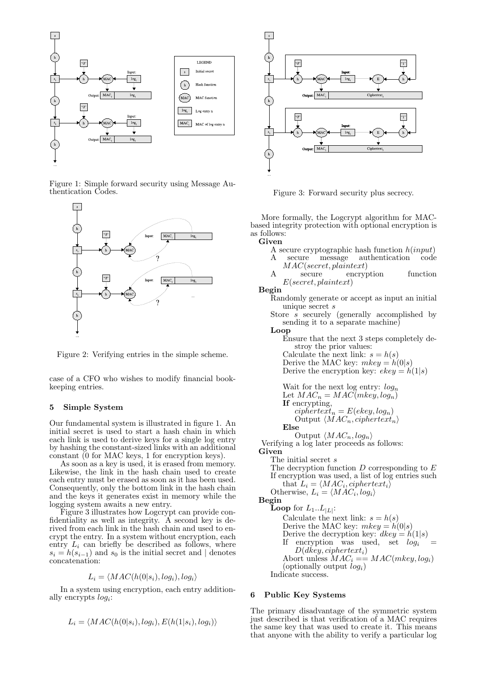

Figure 1: Simple forward security using Message Authentication Codes.



Figure 2: Verifying entries in the simple scheme.

case of a CFO who wishes to modify financial bookkeeping entries.

# 5 Simple System

Our fundamental system is illustrated in figure 1. An initial secret is used to start a hash chain in which each link is used to derive keys for a single log entry by hashing the constant-sized links with an additional constant (0 for MAC keys, 1 for encryption keys).

As soon as a key is used, it is erased from memory. Likewise, the link in the hash chain used to create each entry must be erased as soon as it has been used. Consequently, only the bottom link in the hash chain and the keys it generates exist in memory while the logging system awaits a new entry.

Figure 3 illustrates how Logcrypt can provide confidentiality as well as integrity. A second key is derived from each link in the hash chain and used to encrypt the entry. In a system without encryption, each entry  $L_i$  can briefly be described as follows, where  $s_i = h(s_{i-1})$  and  $s_0$  is the initial secret and | denotes concatenation:

$$
L_i = \langle MAC(h(0|s_i), log_i), log_i \rangle
$$

In a system using encryption, each entry additionally encrypts  $log<sub>i</sub>$ :

$$
L_i = \langle MAC(h(0|s_i), log_i), E(h(1|s_i), log_i) \rangle
$$



Figure 3: Forward security plus secrecy.

More formally, the Logcrypt algorithm for MACbased integrity protection with optional encryption is as follows:

Given

- A secure cryptographic hash function  $h(input)$
- A secure message authentication code MAC(secret, plaintext)

A secure encryption function  $E(\text{secret}, \text{plaintext})$ 

Begin

- Randomly generate or accept as input an initial unique secret s
- Store  $\overline{s}$  securely (generally accomplished by sending it to a separate machine)

Loop

Ensure that the next 3 steps completely destroy the prior values: Calculate the next link:  $s = h(s)$ 

Derive the MAC key:  $mkey = h(0|s)$ 

Derive the encryption key:  $ekey = h(1|s)$ 

Wait for the next log entry: 
$$
log_n
$$
  
Let  $MAC_n = MAC(mkey, log_n)$   
If encrypting,  
*ciphertext<sub>n</sub>* = E(ekey, log<sub>n</sub>)  
Output  $\langle MAC_n, ciphertext_n \rangle$   
Else

Output  $\langle MAC_n, log_n \rangle$ 

Verifying a log later proceeds as follows: Given

The initial secret s

The decryption function  $D$  corresponding to  $E$ If encryption was used, a list of log entries such that  $L_i = \langle MAC_i, ciphertext_i \rangle$ Otherwise,  $L_i = \langle MAC_i, log_i \rangle$ Begin **Loop** for  $L_1..L_{|L|}$ : Calculate the next link:  $s = h(s)$ Derive the MAC key:  $mkey = h(0|s)$ Derive the decryption key:  $dkey = h(1|s)$ If encryption was used, set  $log_i$  $D(dkey, ciphertext<sub>i</sub>)$ 

Abort unless  $MAC_i = = MAC(mkey, log_i)$ (optionally output  $log_i$ )

Indicate success.

### 6 Public Key Systems

The primary disadvantage of the symmetric system just described is that verification of a MAC requires the same key that was used to create it. This means that anyone with the ability to verify a particular log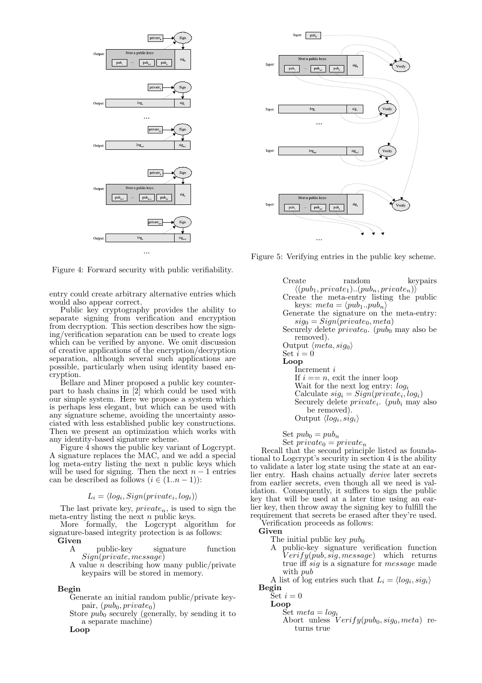

Figure 4: Forward security with public verifiability.

entry could create arbitrary alternative entries which would also appear correct.

Public key cryptography provides the ability to separate signing from verification and encryption from decryption. This section describes how the signing/verification separation can be used to create logs which can be verified by anyone. We omit discussion of creative applications of the encryption/decryption separation, although several such applications are possible, particularly when using identity based encryption.

Bellare and Miner proposed a public key counterpart to hash chains in [2] which could be used with our simple system. Here we propose a system which is perhaps less elegant, but which can be used with any signature scheme, avoiding the uncertainty associated with less established public key constructions. Then we present an optimization which works with any identity-based signature scheme.

Figure 4 shows the public key variant of Logcrypt. A signature replaces the MAC, and we add a special log meta-entry listing the next n public keys which will be used for signing. Then the next  $n-1$  entries can be described as follows  $(i \in (1..n-1))$ :

# $L_i = \langle log_i, Sign(private_i, log_i) \rangle$

The last private key,  $private_n$ , is used to sign the meta-entry listing the next  $n$  public keys.

More formally, the Logcrypt algorithm for signature-based integrity protection is as follows:

Given

- A public-key signature function Sign(private, message)
- A value  $\overline{n}$  describing how many public/private keypairs will be stored in memory.

# Begin

- Generate an initial random public/private keypair,  $(pub_0, private_0)$
- Store  $pub<sub>0</sub>$  securely (generally, by sending it to a separate machine)

Loop



Figure 5: Verifying entries in the public key scheme.

Create random keypairs  $\langle (pub_1, private_1)...(pub_n, private_n) \rangle$ Create the meta-entry listing the public keys:  $meta = \langle pub_1..pub_n \rangle$ Generate the signature on the meta-entry:  $sig_0 = Sign(private_0, meta)$ Securely delete  $private_0$ . ( $pub_0$  may also be removed). Output  $\langle meta, sig_0 \rangle$ Set  $\overline{i} = 0$ Loop Increment i If  $i == n$ , exit the inner loop Wait for the next log entry:  $log_i$ Calculate  $sig_i = Sign(private_i, log_i)$ Securely delete  $private_i$ .  $(pub_i$  may also be removed). Output  $\langle log_i, sig_i \rangle$ 

Set  $pub_0 = pub_n$ 

Set  $private_0 = private_n$ 

Recall that the second principle listed as foundational to Logcrypt's security in section 4 is the ability to validate a later log state using the state at an earlier entry. Hash chains actually derive later secrets from earlier secrets, even though all we need is validation. Consequently, it suffices to sign the public key that will be used at a later time using an earlier key, then throw away the signing key to fulfill the requirement that secrets be erased after they're used.

Verification proceeds as follows: Given

The initial public key  $pub<sub>0</sub>$ 

A public-key signature verification function  $Verify(pub, sig, message)$  which returns true iff sig is a signature for message made with pub

A list of log entries such that  $L_i = \langle log_i, sig_i \rangle$ 

Begin

- Set  $i=0$ Loop
	- Set  $meta = log_i$ Abort unless  $Verify(pub_0, sig_0, meta)$  returns true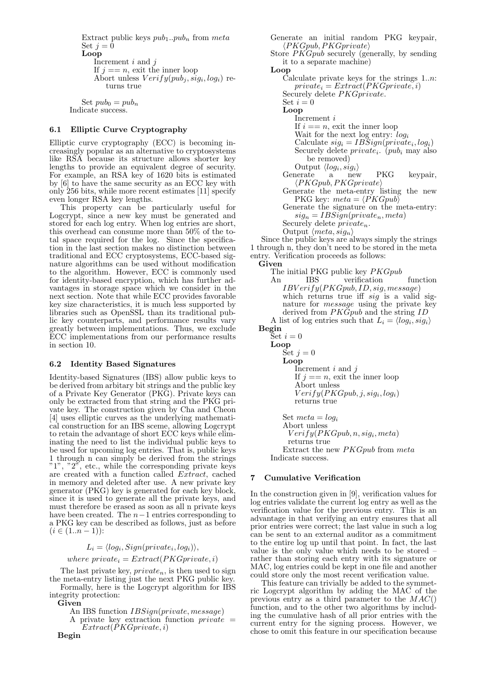Extract public keys  $pub_1..pub_n$  from meta Set  $i = 0$ Loop Increment  $i$  and  $j$ If  $j == n$ , exit the inner loop Abort unless  $Verify(pub_j, sig_i, log_i)$  returns true

Set  $pub_0 = pub_n$ Indicate success.

# 6.1 Elliptic Curve Cryptography

Elliptic curve cryptography (ECC) is becoming increasingly popular as an alternative to cryptosystems like RSA because its structure allows shorter key lengths to provide an equivalent degree of security. For example, an RSA key of 1620 bits is estimated by [6] to have the same security as an ECC key with only 256 bits, while more recent estimates [11] specify even longer RSA key lengths.

This property can be particularly useful for Logcrypt, since a new key must be generated and stored for each log entry. When log entries are short, this overhead can consume more than 50% of the total space required for the log. Since the specification in the last section makes no distinction between traditional and ECC cryptosystems, ECC-based signature algorithms can be used without modification to the algorithm. However, ECC is commonly used for identity-based encryption, which has further advantages in storage space which we consider in the next section. Note that while ECC provides favorable key size characteristics, it is much less supported by libraries such as OpenSSL than its traditional public key counterparts, and performance results vary greatly between implementations. Thus, we exclude ECC implementations from our performance results in section 10.

#### 6.2 Identity Based Signatures

Identity-based Signatures (IBS) allow public keys to be derived from arbitary bit strings and the public key of a Private Key Generator (PKG). Private keys can only be extracted from that string and the PKG private key. The construction given by Cha and Cheon [4] uses elliptic curves as the underlying mathematical construction for an IBS sceme, allowing Logcrypt to retain the advantage of short ECC keys while eliminating the need to list the individual public keys to be used for upcoming log entries. That is, public keys 1 through n can simply be derived from the strings  $"1", "2",$  etc., while the corresponding private keys are created with a function called Extract, cached in memory and deleted after use. A new private key generator (PKG) key is generated for each key block, since it is used to generate all the private keys, and must therefore be erased as soon as all n private keys have been created. The  $n-1$  entries corresponding to a PKG key can be described as follows, just as before  $(i \in (1..n-1))$ :

# $L_i = \langle log_i, Sign(private_i, log_i) \rangle,$

where  $private_i = Extract(PKGprivate, i)$ 

The last private key,  $private_n$ , is then used to sign the meta-entry listing just the next PKG public key.

Formally, here is the Logcrypt algorithm for IBS integrity protection: Given

An IBS function IBSign(private, message)

A private key extraction function  $private =$  $Extract(PKGprivate,i)$ 

Generate an initial random PKG keypair,  $\langle PKGpub, PKGprivate \rangle$ Store PKGpub securely (generally, by sending it to a separate machine) Loop Calculate private keys for the strings 1..n:  $private_i = Extract(PKGprivate, i)$ Securely delete *PKGprivate*. Set  $i=0$ Loop Increment i If  $i == n$ , exit the inner loop Wait for the next log entry:  $log_i$ Calculate  $sig_i = IBSign(private_i, log_i)$ Securely delete  $private_i$ .  $(pub_i$  may also be removed) Output  $\langle log_i, sig_i \rangle$ Generate a new PKG keypair,  $\langle PKGpub, PKGprivate\rangle$ Generate the meta-entry listing the new PKG key:  $meta = \langle PKGpub \rangle$ Generate the signature on the meta-entry:  $sig_n = IBSign(private_n, meta)$ Securely delete  $private_n$ . Output  $\langle meta, sig_n \rangle$ Since the public keys are always simply the strings 1 through n, they don't need to be stored in the meta

entry. Verification proceeds as follows: Given The initial PKG public key PKGpub An IBS verification function  $IBVerify(PKGpub, ID, sig, message)$ which returns true iff  $sig$  is a valid signature for *message* using the private key derived from  $PKGpub$  and the string ID A list of log entries such that  $L_i = \langle log_i, sig_i \rangle$ Begin Set  $i=0$ Loop Set  $j=0$ Loop Increment  $i$  and  $j$ If  $j == n$ , exit the inner loop Abort unless  $Verify(PKGpub, j, sig<sub>i</sub>, log<sub>i</sub>)$ returns true Set  $meta = log_i$ Abort unless  $Verify(PKGpub, n, sig<sub>i</sub>, meta)$ returns true Extract the new PKGpub from meta Indicate success.

# **Cumulative Verification**

In the construction given in [9], verification values for log entries validate the current log entry as well as the verification value for the previous entry. This is an advantage in that verifying an entry ensures that all prior entries were correct; the last value in such a log can be sent to an external auditor as a commitment to the entire log up until that point. In fact, the last value is the only value which needs to be stored – rather than storing each entry with its signature or MAC, log entries could be kept in one file and another could store only the most recent verification value.

This feature can trivially be added to the symmetric Logcrypt algorithm by adding the MAC of the previous entry as a third parameter to the  $MAC()$ function, and to the other two algorithms by including the cumulative hash of all prior entries with the current entry for the signing process. However, we chose to omit this feature in our specification because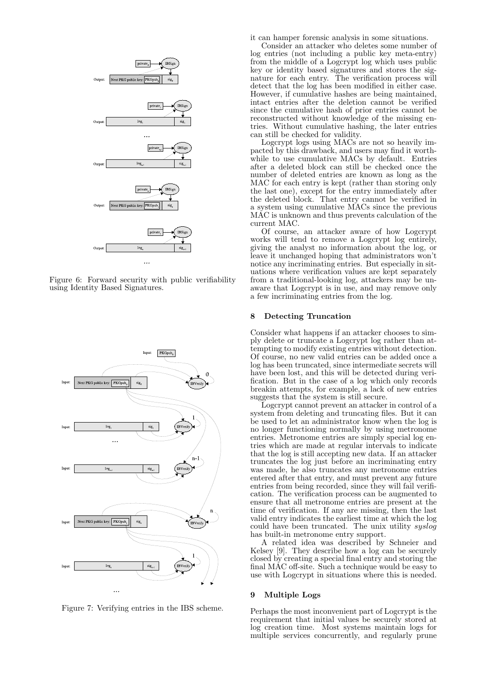

Figure 6: Forward security with public verifiability using Identity Based Signatures.



Figure 7: Verifying entries in the IBS scheme.

it can hamper forensic analysis in some situations.

Consider an attacker who deletes some number of log entries (not including a public key meta-entry) from the middle of a Logcrypt log which uses public key or identity based signatures and stores the signature for each entry. The verification process will detect that the log has been modified in either case. However, if cumulative hashes are being maintained, intact entries after the deletion cannot be verified since the cumulative hash of prior entries cannot be reconstructed without knowledge of the missing entries. Without cumulative hashing, the later entries can still be checked for validity.

Logcrypt logs using MACs are not so heavily impacted by this drawback, and users may find it worthwhile to use cumulative MACs by default. Entries after a deleted block can still be checked once the number of deleted entries are known as long as the MAC for each entry is kept (rather than storing only the last one), except for the entry immediately after the deleted block. That entry cannot be verified in a system using cumulative MACs since the previous MAC is unknown and thus prevents calculation of the current MAC.

Of course, an attacker aware of how Logcrypt works will tend to remove a Logcrypt log entirely, giving the analyst no information about the log, or leave it unchanged hoping that administrators won't notice any incriminating entries. But especially in situations where verification values are kept separately from a traditional-looking log, attackers may be unaware that Logcrypt is in use, and may remove only a few incriminating entries from the log.

#### 8 Detecting Truncation

Consider what happens if an attacker chooses to simply delete or truncate a Logcrypt log rather than attempting to modify existing entries without detection. Of course, no new valid entries can be added once a log has been truncated, since intermediate secrets will have been lost, and this will be detected during verification. But in the case of a log which only records breakin attempts, for example, a lack of new entries suggests that the system is still secure.

Logcrypt cannot prevent an attacker in control of a system from deleting and truncating files. But it can be used to let an administrator know when the log is no longer functioning normally by using metronome entries. Metronome entries are simply special log entries which are made at regular intervals to indicate that the log is still accepting new data. If an attacker truncates the log just before an incriminating entry was made, he also truncates any metronome entries entered after that entry, and must prevent any future entries from being recorded, since they will fail verification. The verification process can be augmented to ensure that all metronome entries are present at the time of verification. If any are missing, then the last valid entry indicates the earliest time at which the log could have been truncated. The unix utility syslog has built-in metronome entry support.

A related idea was described by Schneier and Kelsey  $[9]$ . They describe how a log can be securely closed by creating a special final entry and storing the final MAC off-site. Such a technique would be easy to use with Logcrypt in situations where this is needed.

#### 9 Multiple Logs

Perhaps the most inconvenient part of Logcrypt is the requirement that initial values be securely stored at log creation time. Most systems maintain logs for multiple services concurrently, and regularly prune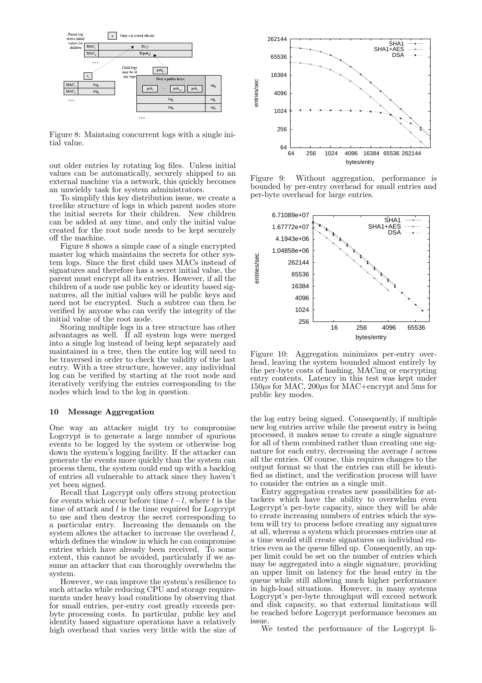

Figure 8: Maintaing concurrent logs with a single initial value.

out older entries by rotating log files. Unless initial values can be automatically, securely shipped to an external machine via a network, this quickly becomes an unwieldy task for system administrators.

To simplify this key distribution issue, we create a treelike structure of logs in which parent nodes store the initial secrets for their children. New children can be added at any time, and only the initial value created for the root node needs to be kept securely off the machine.

Figure 8 shows a simple case of a single encrypted master log which maintains the secrets for other system logs. Since the first child uses MACs instead of signatures and therefore has a secret initial value, the parent must encrypt all its entries. However, if all the children of a node use public key or identity based signatures, all the initial values will be public keys and need not be encrypted. Such a subtree can then be verified by anyone who can verify the integrity of the initial value of the root node.

Storing multiple logs in a tree structure has other advantages as well. If all system logs were merged into a single log instead of being kept separately and maintained in a tree, then the entire log will need to be traversed in order to check the validity of the last entry. With a tree structure, however, any individual log can be verified by starting at the root node and iteratively verifying the entries corresponding to the nodes which lead to the log in question.

# 10 Message Aggregation

One way an attacker might try to compromise Logcrypt is to generate a large number of spurious events to be logged by the system or otherwise bog down the system's logging facility. If the attacker can generate the events more quickly than the system can process them, the system could end up with a backlog of entries all vulnerable to attack since they haven't yet been signed.

Recall that Logcrypt only offers strong protection for events which occur before time  $t-l$ , where t is the time of attack and  $l$  is the time required for Logcrypt to use and then destroy the secret corresponding to a particular entry. Increasing the demands on the system allows the attacker to increase the overhead l, which defines the window in which he can compromise entries which have already been received. To some extent, this cannot be avoided, particularly if we assume an attacker that can thoroughly overwhelm the system.

However, we can improve the system's resilience to such attacks while reducing CPU and storage requirements under heavy load conditions by observing that for small entries, per-entry cost greatly exceeds perbyte processing costs. In particular, public key and identity based signature operations have a relatively high overhead that varies very little with the size of



Figure 9: Without aggregation, performance is bounded by per-entry overhead for small entries and per-byte overhead for large entries.



Figure 10: Aggregation minimizes per-entry overhead, leaving the system bounded almost entirely by the per-byte costs of hashing, MACing or encrypting entry contents. Latency in this test was kept under  $150\mu s$  for MAC,  $200\mu s$  for MAC+encrypt and 5ms for public key modes.

the log entry being signed. Consequently, if multiple new log entries arrive while the present entry is being processed, it makes sense to create a single signature for all of them combined rather than creating one signature for each entry, decreasing the average l across all the entries. Of course, this requires changes to the output format so that the entries can still be identified as distinct, and the verification process will have to consider the entries as a single unit.

Entry aggregation creates new possibilities for attackers which have the ability to overwhelm even Logcrypt's per-byte capacity, since they will be able to create increasing numbers of entries which the system will try to process before creating any signatures at all, whereas a system which processes entries one at a time would still create signatures on individual entries even as the queue filled up. Consequently, an upper limit could be set on the number of entries which may be aggregated into a single signature, providing an upper limit on latency for the head entry in the queue while still allowing much higher performance in high-load situations. However, in many systems Logcrypt's per-byte throughput will exceed network and disk capacity, so that external limitations will be reached before Logcrypt performance becomes an issue.

We tested the performance of the Logcrypt li-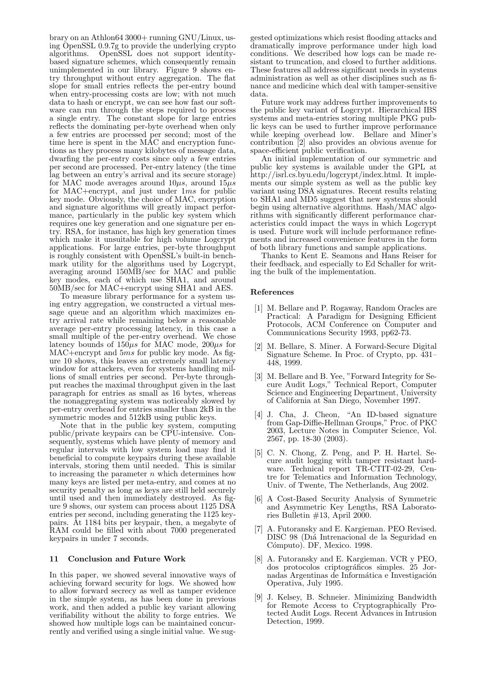brary on an Athlon64 3000+ running GNU/Linux, using OpenSSL 0.9.7g to provide the underlying crypto algorithms. OpenSSL does not support identitybased signature schemes, which consequently remain unimplemented in our library. Figure 9 shows entry throughput without entry aggregation. The flat slope for small entries reflects the per-entry bound when entry-processing costs are low; with not much data to hash or encrypt, we can see how fast our software can run through the steps required to process a single entry. The constant slope for large entries reflects the dominating per-byte overhead when only a few entries are processed per second; most of the time here is spent in the MAC and encryption functions as they process many kilobytes of message data, dwarfing the per-entry costs since only a few entries per second are processed. Per-entry latency (the time lag between an entry's arrival and its secure storage) for MAC mode averages around  $10\mu s$ , around  $15\mu s$ for MAC+encrypt, and just under 1ms for public key mode. Obviously, the choice of MAC, encryption and signature algorithms will greatly impact performance, particularly in the public key system which requires one key generation and one signature per entry. RSA, for instance, has high key generation times which make it unsuitable for high volume Logcrypt applications. For large entries, per-byte throughput is roughly consistent with OpenSSL's built-in benchmark utility for the algorithms used by Logcrypt, averaging around 150MB/sec for MAC and public key modes, each of which use SHA1, and around 50MB/sec for MAC+encrypt using SHA1 and AES.

To measure library performance for a system using entry aggregation, we constructed a virtual message queue and an algorithm which maximizes entry arrival rate while remaining below a reasonable average per-entry processing latency, in this case a small multiple of the per-entry overhead. We chose latency bounds of  $150\mu s$  for MAC mode,  $200\mu s$  for  $MAC+$ encrypt and  $5ms$  for public key mode. As figure 10 shows, this leaves an extremely small latency window for attackers, even for systems handling millions of small entries per second. Per-byte throughput reaches the maximal throughput given in the last paragraph for entries as small as 16 bytes, whereas the nonaggregating system was noticeably slowed by per-entry overhead for entries smaller than 2kB in the symmetric modes and 512kB using public keys.

Note that in the public key system, computing public/private keypairs can be CPU-intensive. Consequently, systems which have plenty of memory and regular intervals with low system load may find it beneficial to compute keypairs during these available intervals, storing them until needed. This is similar to increasing the parameter  $n$  which determines how many keys are listed per meta-entry, and comes at no security penalty as long as keys are still held securely until used and then immediately destroyed. As figure 9 shows, our system can process about 1125 DSA entries per second, including generating the 1125 keypairs. At 1184 bits per keypair, then, a megabyte of RAM could be filled with about 7000 pregenerated keypairs in under 7 seconds.

#### 11 Conclusion and Future Work

In this paper, we showed several innovative ways of achieving forward security for logs. We showed how to allow forward secrecy as well as tamper evidence in the simple system, as has been done in previous work, and then added a public key variant allowing verifiability without the ability to forge entries. We showed how multiple logs can be maintained concurrently and verified using a single initial value. We sug-

gested optimizations which resist flooding attacks and dramatically improve performance under high load conditions. We described how logs can be made resistant to truncation, and closed to further additions. These features all address significant needs in systems administration as well as other disciplines such as finance and medicine which deal with tamper-sensitive data.

Future work may address further improvements to the public key variant of Logcrypt. Hierarchical IBS systems and meta-entries storing multiple PKG public keys can be used to further improve performance while keeping overhead low. Bellare and Miner's contribution [2] also provides an obvious avenue for space-efficient public verification.

An initial implementation of our symmetric and public key systems is available under the GPL at http://isrl.cs.byu.edu/logcrypt/index.html. It implements our simple system as well as the public key variant using DSA signatures. Recent results relating to SHA1 and MD5 suggest that new systems should begin using alternative algorithms. Hash/MAC algorithms with significantly different performance characteristics could impact the ways in which Logcrypt is used. Future work will include performance refinements and increased convenience features in the form of both library functions and sample applications.

Thanks to Kent E. Seamons and Hans Reiser for their feedback, and especially to Ed Schaller for writing the bulk of the implementation.

#### References

- [1] M. Bellare and P. Rogaway, Random Oracles are Practical: A Paradigm for Designing Efficient Protocols, ACM Conference on Computer and Communications Security 1993, pp62-73.
- [2] M. Bellare, S. Miner. A Forward-Secure Digital Signature Scheme. In Proc. of Crypto, pp. 431– 448, 1999.
- [3] M. Bellare and B. Yee, "Forward Integrity for Secure Audit Logs," Technical Report, Computer Science and Engineering Department, University of California at San Diego, November 1997.
- [4] J. Cha, J. Cheon, "An ID-based signature from Gap-Diffie-Hellman Groups," Proc. of PKC 2003, Lecture Notes in Computer Science, Vol. 2567, pp. 18-30 (2003).
- [5] C. N. Chong, Z. Peng, and P. H. Hartel. Secure audit logging with tamper resistant hardware. Technical report TR-CTIT-02-29, Centre for Telematics and Information Technology, Univ. of Twente, The Netherlands, Aug 2002.
- [6] A Cost-Based Security Analysis of Symmetric and Asymmetric Key Lengths, RSA Laboratories Bulletin  $#13$ , April 2000.
- [7] A. Futoransky and E. Kargieman. PEO Revised. DISC 98 (Dı´a Intrenacional de la Seguridad en Cómputo). DF, Mexico. 1998.
- [8] A. Futoransky and E. Kargieman. VCR y PEO, dos protocolos criptogr´aficos simples. 25 Jornadas Argentinas de Informática e Investigación Operativa, July 1995.
- [9] J. Kelsey, B. Schneier. Minimizing Bandwidth for Remote Access to Cryptographically Protected Audit Logs. Recent Advances in Intrusion Detection, 1999.